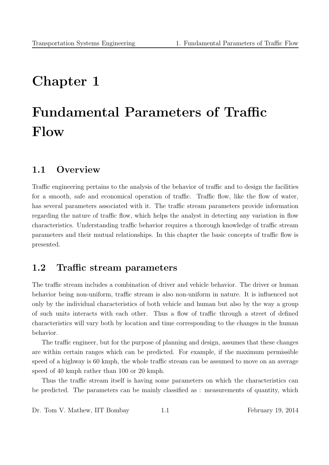## Chapter 1

# Fundamental Parameters of Traffic Flow

## 1.1 Overview

Traffic engineering pertains to the analysis of the behavior of traffic and to design the facilities for a smooth, safe and economical operation of traffic. Traffic flow, like the flow of water, has several parameters associated with it. The traffic stream parameters provide information regarding the nature of traffic flow, which helps the analyst in detecting any variation in flow characteristics. Understanding traffic behavior requires a thorough knowledge of traffic stream parameters and their mutual relationships. In this chapter the basic concepts of traffic flow is presented.

## 1.2 Traffic stream parameters

The traffic stream includes a combination of driver and vehicle behavior. The driver or human behavior being non-uniform, traffic stream is also non-uniform in nature. It is influenced not only by the individual characteristics of both vehicle and human but also by the way a group of such units interacts with each other. Thus a flow of traffic through a street of defined characteristics will vary both by location and time corresponding to the changes in the human behavior.

The traffic engineer, but for the purpose of planning and design, assumes that these changes are within certain ranges which can be predicted. For example, if the maximum permissible speed of a highway is 60 kmph, the whole traffic stream can be assumed to move on an average speed of 40 kmph rather than 100 or 20 kmph.

Thus the traffic stream itself is having some parameters on which the characteristics can be predicted. The parameters can be mainly classified as : measurements of quantity, which

Dr. Tom V. Mathew, IIT Bombay 1.1 February 19, 2014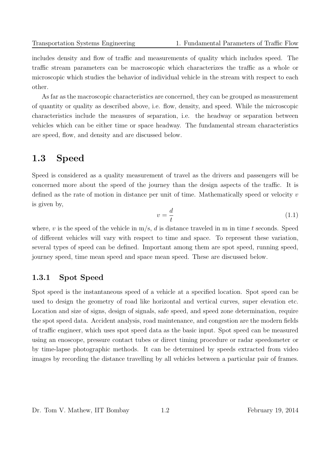includes density and flow of traffic and measurements of quality which includes speed. The traffic stream parameters can be macroscopic which characterizes the traffic as a whole or microscopic which studies the behavior of individual vehicle in the stream with respect to each other.

As far as the macroscopic characteristics are concerned, they can be grouped as measurement of quantity or quality as described above, i.e. flow, density, and speed. While the microscopic characteristics include the measures of separation, i.e. the headway or separation between vehicles which can be either time or space headway. The fundamental stream characteristics are speed, flow, and density and are discussed below.

## 1.3 Speed

Speed is considered as a quality measurement of travel as the drivers and passengers will be concerned more about the speed of the journey than the design aspects of the traffic. It is defined as the rate of motion in distance per unit of time. Mathematically speed or velocity  $v$ is given by,

$$
v = \frac{d}{t} \tag{1.1}
$$

where, v is the speed of the vehicle in  $m/s$ , d is distance traveled in m in time t seconds. Speed of different vehicles will vary with respect to time and space. To represent these variation, several types of speed can be defined. Important among them are spot speed, running speed, journey speed, time mean speed and space mean speed. These are discussed below.

#### 1.3.1 Spot Speed

Spot speed is the instantaneous speed of a vehicle at a specified location. Spot speed can be used to design the geometry of road like horizontal and vertical curves, super elevation etc. Location and size of signs, design of signals, safe speed, and speed zone determination, require the spot speed data. Accident analysis, road maintenance, and congestion are the modern fields of traffic engineer, which uses spot speed data as the basic input. Spot speed can be measured using an enoscope, pressure contact tubes or direct timing procedure or radar speedometer or by time-lapse photographic methods. It can be determined by speeds extracted from video images by recording the distance travelling by all vehicles between a particular pair of frames.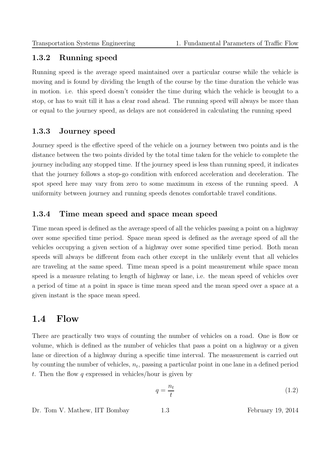## 1.3.2 Running speed

Running speed is the average speed maintained over a particular course while the vehicle is moving and is found by dividing the length of the course by the time duration the vehicle was in motion. i.e. this speed doesn't consider the time during which the vehicle is brought to a stop, or has to wait till it has a clear road ahead. The running speed will always be more than or equal to the journey speed, as delays are not considered in calculating the running speed

### 1.3.3 Journey speed

Journey speed is the effective speed of the vehicle on a journey between two points and is the distance between the two points divided by the total time taken for the vehicle to complete the journey including any stopped time. If the journey speed is less than running speed, it indicates that the journey follows a stop-go condition with enforced acceleration and deceleration. The spot speed here may vary from zero to some maximum in excess of the running speed. A uniformity between journey and running speeds denotes comfortable travel conditions.

#### 1.3.4 Time mean speed and space mean speed

Time mean speed is defined as the average speed of all the vehicles passing a point on a highway over some specified time period. Space mean speed is defined as the average speed of all the vehicles occupying a given section of a highway over some specified time period. Both mean speeds will always be different from each other except in the unlikely event that all vehicles are traveling at the same speed. Time mean speed is a point measurement while space mean speed is a measure relating to length of highway or lane, i.e. the mean speed of vehicles over a period of time at a point in space is time mean speed and the mean speed over a space at a given instant is the space mean speed.

## 1.4 Flow

There are practically two ways of counting the number of vehicles on a road. One is flow or volume, which is defined as the number of vehicles that pass a point on a highway or a given lane or direction of a highway during a specific time interval. The measurement is carried out by counting the number of vehicles,  $n_t$ , passing a particular point in one lane in a defined period t. Then the flow q expressed in vehicles/hour is given by

$$
q = \frac{n_t}{t} \tag{1.2}
$$

Dr. Tom V. Mathew, IIT Bombay 1.3 February 19, 2014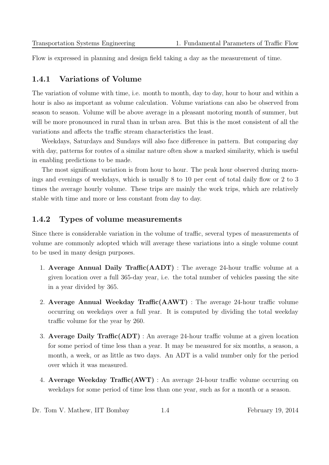Flow is expressed in planning and design field taking a day as the measurement of time.

#### 1.4.1 Variations of Volume

The variation of volume with time, i.e. month to month, day to day, hour to hour and within a hour is also as important as volume calculation. Volume variations can also be observed from season to season. Volume will be above average in a pleasant motoring month of summer, but will be more pronounced in rural than in urban area. But this is the most consistent of all the variations and affects the traffic stream characteristics the least.

Weekdays, Saturdays and Sundays will also face difference in pattern. But comparing day with day, patterns for routes of a similar nature often show a marked similarity, which is useful in enabling predictions to be made.

The most significant variation is from hour to hour. The peak hour observed during mornings and evenings of weekdays, which is usually 8 to 10 per cent of total daily flow or 2 to 3 times the average hourly volume. These trips are mainly the work trips, which are relatively stable with time and more or less constant from day to day.

#### 1.4.2 Types of volume measurements

Since there is considerable variation in the volume of traffic, several types of measurements of volume are commonly adopted which will average these variations into a single volume count to be used in many design purposes.

- 1. Average Annual Daily Traffic(AADT) : The average 24-hour traffic volume at a given location over a full 365-day year, i.e. the total number of vehicles passing the site in a year divided by 365.
- 2. Average Annual Weekday Traffic(AAWT) : The average 24-hour traffic volume occurring on weekdays over a full year. It is computed by dividing the total weekday traffic volume for the year by 260.
- 3. Average Daily Traffic(ADT) : An average 24-hour traffic volume at a given location for some period of time less than a year. It may be measured for six months, a season, a month, a week, or as little as two days. An ADT is a valid number only for the period over which it was measured.
- 4. Average Weekday Traffic(AWT) : An average 24-hour traffic volume occurring on weekdays for some period of time less than one year, such as for a month or a season.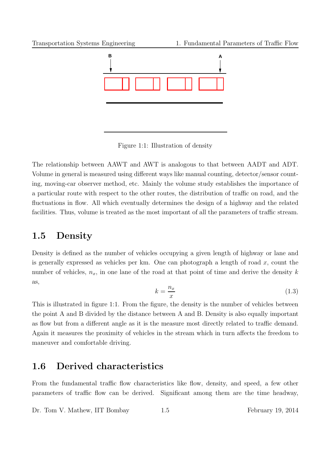

Figure 1:1: Illustration of density

The relationship between AAWT and AWT is analogous to that between AADT and ADT. Volume in general is measured using different ways like manual counting, detector/sensor counting, moving-car observer method, etc. Mainly the volume study establishes the importance of a particular route with respect to the other routes, the distribution of traffic on road, and the fluctuations in flow. All which eventually determines the design of a highway and the related facilities. Thus, volume is treated as the most important of all the parameters of traffic stream.

## 1.5 Density

Density is defined as the number of vehicles occupying a given length of highway or lane and is generally expressed as vehicles per km. One can photograph a length of road  $x$ , count the number of vehicles,  $n_x$ , in one lane of the road at that point of time and derive the density k as,

$$
k = \frac{n_x}{x} \tag{1.3}
$$

This is illustrated in figure 1:1. From the figure, the density is the number of vehicles between the point A and B divided by the distance between A and B. Density is also equally important as flow but from a different angle as it is the measure most directly related to traffic demand. Again it measures the proximity of vehicles in the stream which in turn affects the freedom to maneuver and comfortable driving.

## 1.6 Derived characteristics

From the fundamental traffic flow characteristics like flow, density, and speed, a few other parameters of traffic flow can be derived. Significant among them are the time headway,

Dr. Tom V. Mathew, IIT Bombay 1.5 February 19, 2014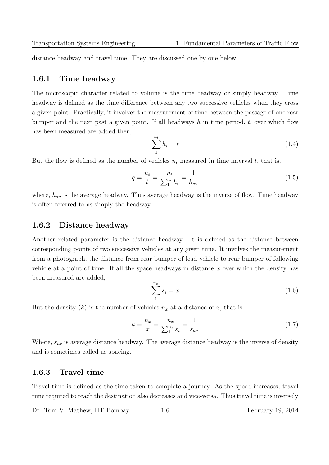distance headway and travel time. They are discussed one by one below.

#### 1.6.1 Time headway

The microscopic character related to volume is the time headway or simply headway. Time headway is defined as the time difference between any two successive vehicles when they cross a given point. Practically, it involves the measurement of time between the passage of one rear bumper and the next past a given point. If all headways  $h$  in time period,  $t$ , over which flow has been measured are added then,

$$
\sum_{1}^{n_t} h_i = t \tag{1.4}
$$

But the flow is defined as the number of vehicles  $n_t$  measured in time interval t, that is,

$$
q = \frac{n_t}{t} = \frac{n_t}{\sum_{1}^{n_t} h_i} = \frac{1}{h_{av}}
$$
\n(1.5)

where,  $h_{av}$  is the average headway. Thus average headway is the inverse of flow. Time headway is often referred to as simply the headway.

#### 1.6.2 Distance headway

Another related parameter is the distance headway. It is defined as the distance between corresponding points of two successive vehicles at any given time. It involves the measurement from a photograph, the distance from rear bumper of lead vehicle to rear bumper of following vehicle at a point of time. If all the space headways in distance  $x$  over which the density has been measured are added,

$$
\sum_{1}^{n_x} s_i = x \tag{1.6}
$$

But the density  $(k)$  is the number of vehicles  $n_x$  at a distance of x, that is

$$
k = \frac{n_x}{x} = \frac{n_x}{\sum_{1}^{n_x} s_i} = \frac{1}{s_{av}}
$$
\n(1.7)

Where,  $s_{av}$  is average distance headway. The average distance headway is the inverse of density and is sometimes called as spacing.

#### 1.6.3 Travel time

Travel time is defined as the time taken to complete a journey. As the speed increases, travel time required to reach the destination also decreases and vice-versa. Thus travel time is inversely

Dr. Tom V. Mathew, IIT Bombay 1.6 February 19, 2014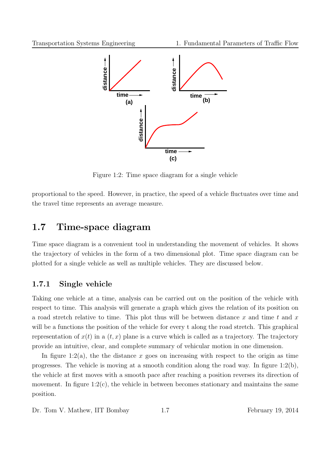

Figure 1:2: Time space diagram for a single vehicle

proportional to the speed. However, in practice, the speed of a vehicle fluctuates over time and the travel time represents an average measure.

## 1.7 Time-space diagram

Time space diagram is a convenient tool in understanding the movement of vehicles. It shows the trajectory of vehicles in the form of a two dimensional plot. Time space diagram can be plotted for a single vehicle as well as multiple vehicles. They are discussed below.

#### 1.7.1 Single vehicle

Taking one vehicle at a time, analysis can be carried out on the position of the vehicle with respect to time. This analysis will generate a graph which gives the relation of its position on a road stretch relative to time. This plot thus will be between distance x and time t and x will be a functions the position of the vehicle for every t along the road stretch. This graphical representation of  $x(t)$  in a  $(t, x)$  plane is a curve which is called as a trajectory. The trajectory provide an intuitive, clear, and complete summary of vehicular motion in one dimension.

In figure 1:2(a), the the distance x goes on increasing with respect to the origin as time progresses. The vehicle is moving at a smooth condition along the road way. In figure  $1:2(b)$ , the vehicle at first moves with a smooth pace after reaching a position reverses its direction of movement. In figure  $1:2(c)$ , the vehicle in between becomes stationary and maintains the same position.

Dr. Tom V. Mathew, IIT Bombay 1.7 February 19, 2014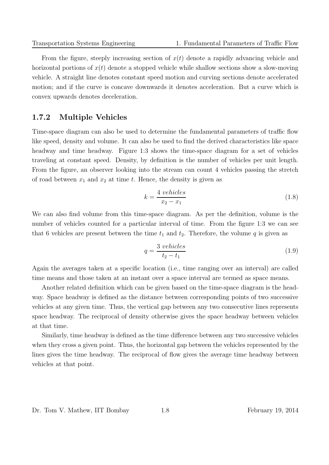From the figure, steeply increasing section of  $x(t)$  denote a rapidly advancing vehicle and horizontal portions of  $x(t)$  denote a stopped vehicle while shallow sections show a slow-moving vehicle. A straight line denotes constant speed motion and curving sections denote accelerated motion; and if the curve is concave downwards it denotes acceleration. But a curve which is convex upwards denotes deceleration.

#### 1.7.2 Multiple Vehicles

Time-space diagram can also be used to determine the fundamental parameters of traffic flow like speed, density and volume. It can also be used to find the derived characteristics like space headway and time headway. Figure 1:3 shows the time-space diagram for a set of vehicles traveling at constant speed. Density, by definition is the number of vehicles per unit length. From the figure, an observer looking into the stream can count 4 vehicles passing the stretch of road between  $x_1$  and  $x_2$  at time t. Hence, the density is given as

$$
k = \frac{4 \text{ vehicles}}{x_2 - x_1} \tag{1.8}
$$

We can also find volume from this time-space diagram. As per the definition, volume is the number of vehicles counted for a particular interval of time. From the figure 1:3 we can see that 6 vehicles are present between the time  $t_1$  and  $t_2$ . Therefore, the volume q is given as

$$
q = \frac{3 \; vehicles}{t_2 - t_1} \tag{1.9}
$$

Again the averages taken at a specific location (i.e., time ranging over an interval) are called time means and those taken at an instant over a space interval are termed as space means.

Another related definition which can be given based on the time-space diagram is the headway. Space headway is defined as the distance between corresponding points of two successive vehicles at any given time. Thus, the vertical gap between any two consecutive lines represents space headway. The reciprocal of density otherwise gives the space headway between vehicles at that time.

Similarly, time headway is defined as the time difference between any two successive vehicles when they cross a given point. Thus, the horizontal gap between the vehicles represented by the lines gives the time headway. The reciprocal of flow gives the average time headway between vehicles at that point.